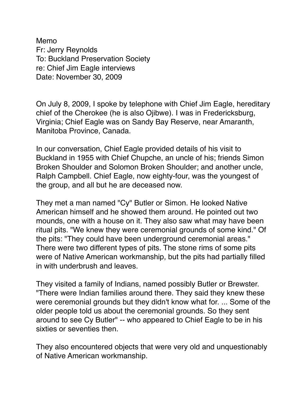Memo Fr: Jerry Reynolds To: Buckland Preservation Society re: Chief Jim Eagle interviews Date: November 30, 2009

On July 8, 2009, I spoke by telephone with Chief Jim Eagle, hereditary chief of the Cherokee (he is also Ojibwe). I was in Fredericksburg, Virginia; Chief Eagle was on Sandy Bay Reserve, near Amaranth, Manitoba Province, Canada.

In our conversation, Chief Eagle provided details of his visit to Buckland in 1955 with Chief Chupche, an uncle of his; friends Simon Broken Shoulder and Solomon Broken Shoulder; and another uncle, Ralph Campbell. Chief Eagle, now eighty-four, was the youngest of the group, and all but he are deceased now.

They met a man named "Cy" Butler or Simon. He looked Native American himself and he showed them around. He pointed out two mounds, one with a house on it. They also saw what may have been ritual pits. "We knew they were ceremonial grounds of some kind." Of the pits: "They could have been underground ceremonial areas." There were two different types of pits. The stone rims of some pits were of Native American workmanship, but the pits had partially filled in with underbrush and leaves.

They visited a family of Indians, named possibly Butler or Brewster. "There were Indian families around there. They said they knew these were ceremonial grounds but they didn't know what for. ... Some of the older people told us about the ceremonial grounds. So they sent around to see Cy Butler" -- who appeared to Chief Eagle to be in his sixties or seventies then.

They also encountered objects that were very old and unquestionably of Native American workmanship.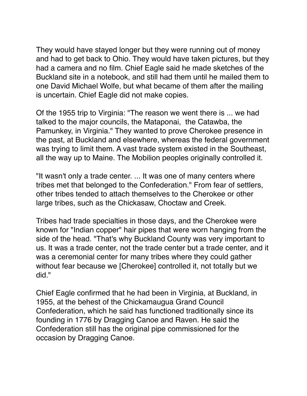They would have stayed longer but they were running out of money and had to get back to Ohio. They would have taken pictures, but they had a camera and no film. Chief Eagle said he made sketches of the Buckland site in a notebook, and still had them until he mailed them to one David Michael Wolfe, but what became of them after the mailing is uncertain. Chief Eagle did not make copies.

Of the 1955 trip to Virginia: "The reason we went there is ... we had talked to the major councils, the Mataponai, the Catawba, the Pamunkey, in Virginia." They wanted to prove Cherokee presence in the past, at Buckland and elsewhere, whereas the federal government was trying to limit them. A vast trade system existed in the Southeast, all the way up to Maine. The Mobilion peoples originally controlled it.

"It wasn't only a trade center. ... It was one of many centers where tribes met that belonged to the Confederation." From fear of settlers, other tribes tended to attach themselves to the Cherokee or other large tribes, such as the Chickasaw, Choctaw and Creek.

Tribes had trade specialties in those days, and the Cherokee were known for "Indian copper" hair pipes that were worn hanging from the side of the head. "That's why Buckland County was very important to us. It was a trade center, not the trade center but a trade center, and it was a ceremonial center for many tribes where they could gather without fear because we [Cherokee] controlled it, not totally but we did."

Chief Eagle confirmed that he had been in Virginia, at Buckland, in 1955, at the behest of the Chickamaugua Grand Council Confederation, which he said has functioned traditionally since its founding in 1776 by Dragging Canoe and Raven. He said the Confederation still has the original pipe commissioned for the occasion by Dragging Canoe.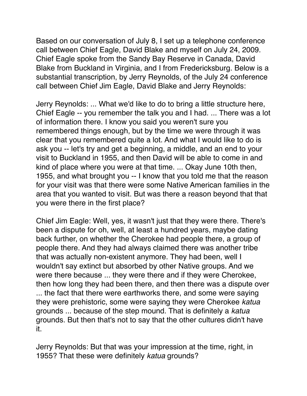Based on our conversation of July 8, I set up a telephone conference call between Chief Eagle, David Blake and myself on July 24, 2009. Chief Eagle spoke from the Sandy Bay Reserve in Canada, David Blake from Buckland in Virginia, and I from Fredericksburg. Below is a substantial transcription, by Jerry Reynolds, of the July 24 conference call between Chief Jim Eagle, David Blake and Jerry Reynolds:

Jerry Reynolds: ... What we'd like to do to bring a little structure here, Chief Eagle -- you remember the talk you and I had. ... There was a lot of information there. I know you said you weren't sure you remembered things enough, but by the time we were through it was clear that you remembered quite a lot. And what I would like to do is ask you -- let's try and get a beginning, a middle, and an end to your visit to Buckland in 1955, and then David will be able to come in and kind of place where you were at that time. ... Okay June 10th then, 1955, and what brought you -- I know that you told me that the reason for your visit was that there were some Native American families in the area that you wanted to visit. But was there a reason beyond that that you were there in the first place?

Chief Jim Eagle: Well, yes, it wasn't just that they were there. There's been a dispute for oh, well, at least a hundred years, maybe dating back further, on whether the Cherokee had people there, a group of people there. And they had always claimed there was another tribe that was actually non-existent anymore. They had been, well I wouldn't say extinct but absorbed by other Native groups. And we were there because ... they were there and if they were Cherokee, then how long they had been there, and then there was a dispute over ... the fact that there were earthworks there, and some were saying they were prehistoric, some were saying they were Cherokee *katua* grounds ... because of the step mound. That is definitely a *katua* grounds. But then that's not to say that the other cultures didn't have it.

Jerry Reynolds: But that was your impression at the time, right, in 1955? That these were definitely *katua* grounds?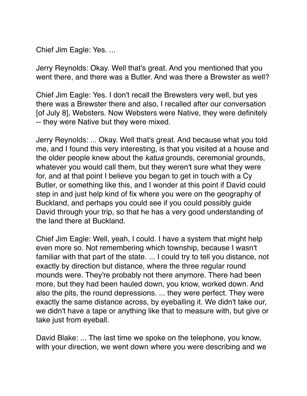Chief Jim Eagle: Yes. ...

Jerry Reynolds: Okay. Well that's great. And you mentioned that you went there, and there was a Butler. And was there a Brewster as well?

Chief Jim Eagle: Yes. I don't recall the Brewsters very well, but yes there was a Brewster there and also, I recalled after our conversation [of July 8], Websters. Now Websters were Native, they were definitely -- they were Native but they were mixed.

Jerry Reynolds: ... Okay. Well that's great. And because what you told me, and I found this very interesting, is that you visited at a house and the older people knew about the *katua* grounds, ceremonial grounds, whatever you would call them, but they weren't sure what they were for, and at that point I believe you began to get in touch with a Cy Butler, or something like this, and I wonder at this point if David could step in and just help kind of fix where you were on the geography of Buckland, and perhaps you could see if you could possibly guide David through your trip, so that he has a very good understanding of the land there at Buckland.

Chief Jim Eagle: Well, yeah, I could. I have a system that might help even more so. Not remembering which township, because I wasn't familiar with that part of the state. ... I could try to tell you distance, not exactly by direction but distance, where the three regular round mounds were. They're probably not there anymore. There had been more, but they had been hauled down, you know, worked down. And also the pits, the round depressions. ... they were perfect. They were exactly the same distance across, by eyeballing it. We didn't take our, we didn't have a tape or anything like that to measure with, but give or take just from eyeball.

David Blake: ... The last time we spoke on the telephone, you know, with your direction, we went down where you were describing and we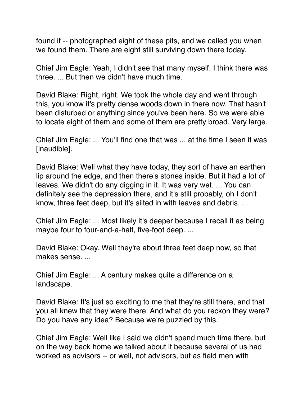found it -- photographed eight of these pits, and we called you when we found them. There are eight still surviving down there today.

Chief Jim Eagle: Yeah, I didn't see that many myself. I think there was three. ... But then we didn't have much time.

David Blake: Right, right. We took the whole day and went through this, you know it's pretty dense woods down in there now. That hasn't been disturbed or anything since you've been here. So we were able to locate eight of them and some of them are pretty broad. Very large.

Chief Jim Eagle: ... You'll find one that was ... at the time I seen it was [inaudible].

David Blake: Well what they have today, they sort of have an earthen lip around the edge, and then there's stones inside. But it had a lot of leaves. We didn't do any digging in it. It was very wet. ... You can definitely see the depression there, and it's still probably, oh I don't know, three feet deep, but it's silted in with leaves and debris. ...

Chief Jim Eagle: ... Most likely it's deeper because I recall it as being maybe four to four-and-a-half, five-foot deep. ...

David Blake: Okay. Well they're about three feet deep now, so that makes sense. ...

Chief Jim Eagle: ... A century makes quite a difference on a landscape.

David Blake: It's just so exciting to me that they're still there, and that you all knew that they were there. And what do you reckon they were? Do you have any idea? Because we're puzzled by this.

Chief Jim Eagle: Well like I said we didn't spend much time there, but on the way back home we talked about it because several of us had worked as advisors -- or well, not advisors, but as field men with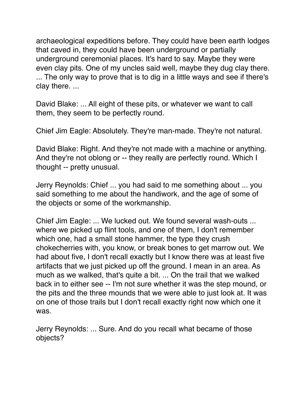archaeological expeditions before. They could have been earth lodges that caved in, they could have been underground or partially underground ceremonial places. It's hard to say. Maybe they were even clay pits. One of my uncles said well, maybe they dug clay there. ... The only way to prove that is to dig in a little ways and see if there's clay there. ...

David Blake: ... All eight of these pits, or whatever we want to call them, they seem to be perfectly round.

Chief Jim Eagle: Absolutely. They're man-made. They're not natural.

David Blake: Right. And they're not made with a machine or anything. And they're not oblong or -- they really are perfectly round. Which I thought -- pretty unusual.

Jerry Reynolds: Chief ... you had said to me something about ... you said something to me about the handiwork, and the age of some of the objects or some of the workmanship.

Chief Jim Eagle: ... We lucked out. We found several wash-outs ... where we picked up flint tools, and one of them, I don't remember which one, had a small stone hammer, the type they crush chokecherries with, you know, or break bones to get marrow out. We had about five, I don't recall exactly but I know there was at least five artifacts that we just picked up off the ground. I mean in an area. As much as we walked, that's quite a bit. ... On the trail that we walked back in to either see -- I'm not sure whether it was the step mound, or the pits and the three mounds that we were able to just look at. It was on one of those trails but I don't recall exactly right now which one it was.

Jerry Reynolds: ... Sure. And do you recall what became of those objects?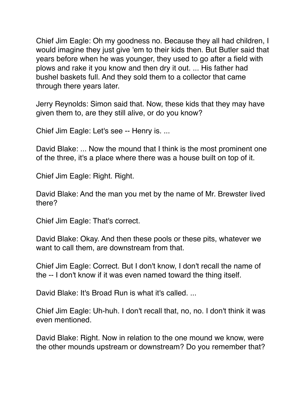Chief Jim Eagle: Oh my goodness no. Because they all had children, I would imagine they just give 'em to their kids then. But Butler said that years before when he was younger, they used to go after a field with plows and rake it you know and then dry it out. ... His father had bushel baskets full. And they sold them to a collector that came through there years later.

Jerry Reynolds: Simon said that. Now, these kids that they may have given them to, are they still alive, or do you know?

Chief Jim Eagle: Let's see -- Henry is. ...

David Blake: ... Now the mound that I think is the most prominent one of the three, it's a place where there was a house built on top of it.

Chief Jim Eagle: Right. Right.

David Blake: And the man you met by the name of Mr. Brewster lived there?

Chief Jim Eagle: That's correct.

David Blake: Okay. And then these pools or these pits, whatever we want to call them, are downstream from that.

Chief Jim Eagle: Correct. But I don't know, I don't recall the name of the -- I don't know if it was even named toward the thing itself.

David Blake: It's Broad Run is what it's called. ...

Chief Jim Eagle: Uh-huh. I don't recall that, no, no. I don't think it was even mentioned.

David Blake: Right. Now in relation to the one mound we know, were the other mounds upstream or downstream? Do you remember that?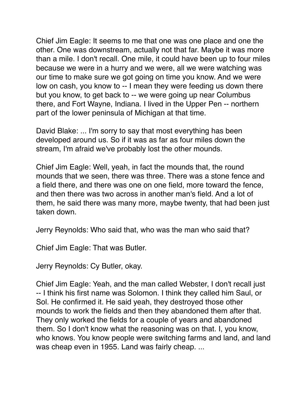Chief Jim Eagle: It seems to me that one was one place and one the other. One was downstream, actually not that far. Maybe it was more than a mile. I don't recall. One mile, it could have been up to four miles because we were in a hurry and we were, all we were watching was our time to make sure we got going on time you know. And we were low on cash, you know to -- I mean they were feeding us down there but you know, to get back to -- we were going up near Columbus there, and Fort Wayne, Indiana. I lived in the Upper Pen -- northern part of the lower peninsula of Michigan at that time.

David Blake: ... I'm sorry to say that most everything has been developed around us. So if it was as far as four miles down the stream, I'm afraid we've probably lost the other mounds.

Chief Jim Eagle: Well, yeah, in fact the mounds that, the round mounds that we seen, there was three. There was a stone fence and a field there, and there was one on one field, more toward the fence, and then there was two across in another man's field. And a lot of them, he said there was many more, maybe twenty, that had been just taken down.

Jerry Reynolds: Who said that, who was the man who said that?

Chief Jim Eagle: That was Butler.

Jerry Reynolds: Cy Butler, okay.

Chief Jim Eagle: Yeah, and the man called Webster, I don't recall just -- I think his first name was Solomon. I think they called him Saul, or Sol. He confirmed it. He said yeah, they destroyed those other mounds to work the fields and then they abandoned them after that. They only worked the fields for a couple of years and abandoned them. So I don't know what the reasoning was on that. I, you know, who knows. You know people were switching farms and land, and land was cheap even in 1955. Land was fairly cheap. ...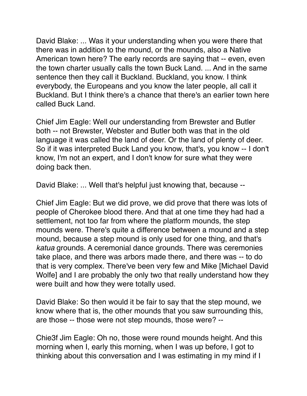David Blake: ... Was it your understanding when you were there that there was in addition to the mound, or the mounds, also a Native American town here? The early records are saying that -- even, even the town charter usually calls the town Buck Land. ... And in the same sentence then they call it Buckland. Buckland, you know. I think everybody, the Europeans and you know the later people, all call it Buckland. But I think there's a chance that there's an earlier town here called Buck Land.

Chief Jim Eagle: Well our understanding from Brewster and Butler both -- not Brewster, Webster and Butler both was that in the old language it was called the land of deer. Or the land of plenty of deer. So if it was interpreted Buck Land you know, that's, you know -- I don't know, I'm not an expert, and I don't know for sure what they were doing back then.

David Blake: ... Well that's helpful just knowing that, because --

Chief Jim Eagle: But we did prove, we did prove that there was lots of people of Cherokee blood there. And that at one time they had had a settlement, not too far from where the platform mounds, the step mounds were. There's quite a difference between a mound and a step mound, because a step mound is only used for one thing, and that's *katua* grounds. A ceremonial dance grounds. There was ceremonies take place, and there was arbors made there, and there was -- to do that is very complex. There've been very few and Mike [Michael David Wolfe] and I are probably the only two that really understand how they were built and how they were totally used.

David Blake: So then would it be fair to say that the step mound, we know where that is, the other mounds that you saw surrounding this, are those -- those were not step mounds, those were? --

Chie3f Jim Eagle: Oh no, those were round mounds height. And this morning when I, early this morning, when I was up before, I got to thinking about this conversation and I was estimating in my mind if I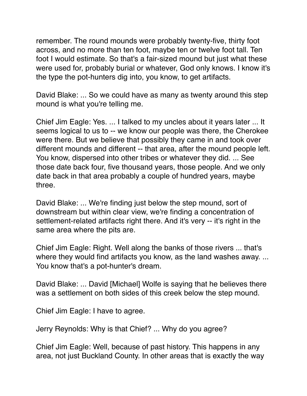remember. The round mounds were probably twenty-five, thirty foot across, and no more than ten foot, maybe ten or twelve foot tall. Ten foot I would estimate. So that's a fair-sized mound but just what these were used for, probably burial or whatever, God only knows. I know it's the type the pot-hunters dig into, you know, to get artifacts.

David Blake: ... So we could have as many as twenty around this step mound is what you're telling me.

Chief Jim Eagle: Yes. ... I talked to my uncles about it years later ... It seems logical to us to -- we know our people was there, the Cherokee were there. But we believe that possibly they came in and took over different mounds and different -- that area, after the mound people left. You know, dispersed into other tribes or whatever they did. ... See those date back four, five thousand years, those people. And we only date back in that area probably a couple of hundred years, maybe three.

David Blake: ... We're finding just below the step mound, sort of downstream but within clear view, we're finding a concentration of settlement-related artifacts right there. And it's very -- it's right in the same area where the pits are.

Chief Jim Eagle: Right. Well along the banks of those rivers ... that's where they would find artifacts you know, as the land washes away. ... You know that's a pot-hunter's dream.

David Blake: ... David [Michael] Wolfe is saying that he believes there was a settlement on both sides of this creek below the step mound.

Chief Jim Eagle: I have to agree.

Jerry Reynolds: Why is that Chief? ... Why do you agree?

Chief Jim Eagle: Well, because of past history. This happens in any area, not just Buckland County. In other areas that is exactly the way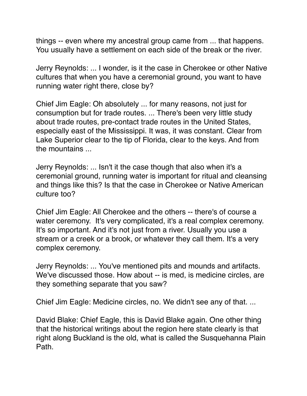things -- even where my ancestral group came from ... that happens. You usually have a settlement on each side of the break or the river.

Jerry Reynolds: ... I wonder, is it the case in Cherokee or other Native cultures that when you have a ceremonial ground, you want to have running water right there, close by?

Chief Jim Eagle: Oh absolutely ... for many reasons, not just for consumption but for trade routes. ... There's been very little study about trade routes, pre-contact trade routes in the United States, especially east of the Mississippi. It was, it was constant. Clear from Lake Superior clear to the tip of Florida, clear to the keys. And from the mountains ...

Jerry Reynolds: ... Isn't it the case though that also when it's a ceremonial ground, running water is important for ritual and cleansing and things like this? Is that the case in Cherokee or Native American culture too?

Chief Jim Eagle: All Cherokee and the others -- there's of course a water ceremony. It's very complicated, it's a real complex ceremony. It's so important. And it's not just from a river. Usually you use a stream or a creek or a brook, or whatever they call them. It's a very complex ceremony.

Jerry Reynolds: ... You've mentioned pits and mounds and artifacts. We've discussed those. How about -- is med, is medicine circles, are they something separate that you saw?

Chief Jim Eagle: Medicine circles, no. We didn't see any of that. ...

David Blake: Chief Eagle, this is David Blake again. One other thing that the historical writings about the region here state clearly is that right along Buckland is the old, what is called the Susquehanna Plain Path.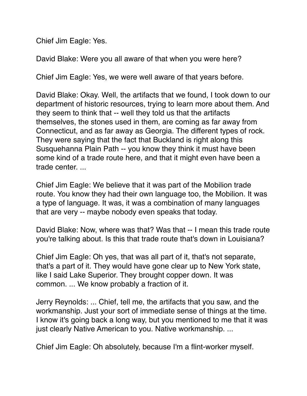Chief Jim Eagle: Yes.

David Blake: Were you all aware of that when you were here?

Chief Jim Eagle: Yes, we were well aware of that years before.

David Blake: Okay. Well, the artifacts that we found, I took down to our department of historic resources, trying to learn more about them. And they seem to think that -- well they told us that the artifacts themselves, the stones used in them, are coming as far away from Connecticut, and as far away as Georgia. The different types of rock. They were saying that the fact that Buckland is right along this Susquehanna Plain Path -- you know they think it must have been some kind of a trade route here, and that it might even have been a trade center. ...

Chief Jim Eagle: We believe that it was part of the Mobilion trade route. You know they had their own language too, the Mobilion. It was a type of language. It was, it was a combination of many languages that are very -- maybe nobody even speaks that today.

David Blake: Now, where was that? Was that -- I mean this trade route you're talking about. Is this that trade route that's down in Louisiana?

Chief Jim Eagle: Oh yes, that was all part of it, that's not separate, that's a part of it. They would have gone clear up to New York state, like I said Lake Superior. They brought copper down. It was common. ... We know probably a fraction of it.

Jerry Reynolds: ... Chief, tell me, the artifacts that you saw, and the workmanship. Just your sort of immediate sense of things at the time. I know it's going back a long way, but you mentioned to me that it was just clearly Native American to you. Native workmanship. ...

Chief Jim Eagle: Oh absolutely, because I'm a flint-worker myself.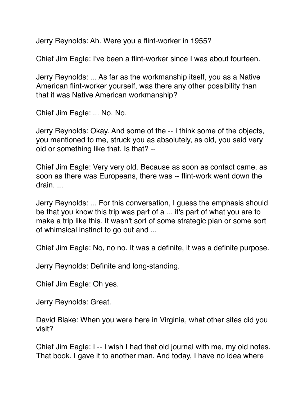Jerry Reynolds: Ah. Were you a flint-worker in 1955?

Chief Jim Eagle: I've been a flint-worker since I was about fourteen.

Jerry Reynolds: ... As far as the workmanship itself, you as a Native American flint-worker yourself, was there any other possibility than that it was Native American workmanship?

Chief Jim Eagle: ... No. No.

Jerry Reynolds: Okay. And some of the -- I think some of the objects, you mentioned to me, struck you as absolutely, as old, you said very old or something like that. Is that? --

Chief Jim Eagle: Very very old. Because as soon as contact came, as soon as there was Europeans, there was -- flint-work went down the drain. ...

Jerry Reynolds: ... For this conversation, I guess the emphasis should be that you know this trip was part of a ... it's part of what you are to make a trip like this. It wasn't sort of some strategic plan or some sort of whimsical instinct to go out and ...

Chief Jim Eagle: No, no no. It was a definite, it was a definite purpose.

Jerry Reynolds: Definite and long-standing.

Chief Jim Eagle: Oh yes.

Jerry Reynolds: Great.

David Blake: When you were here in Virginia, what other sites did you visit?

Chief Jim Eagle: I -- I wish I had that old journal with me, my old notes. That book. I gave it to another man. And today, I have no idea where